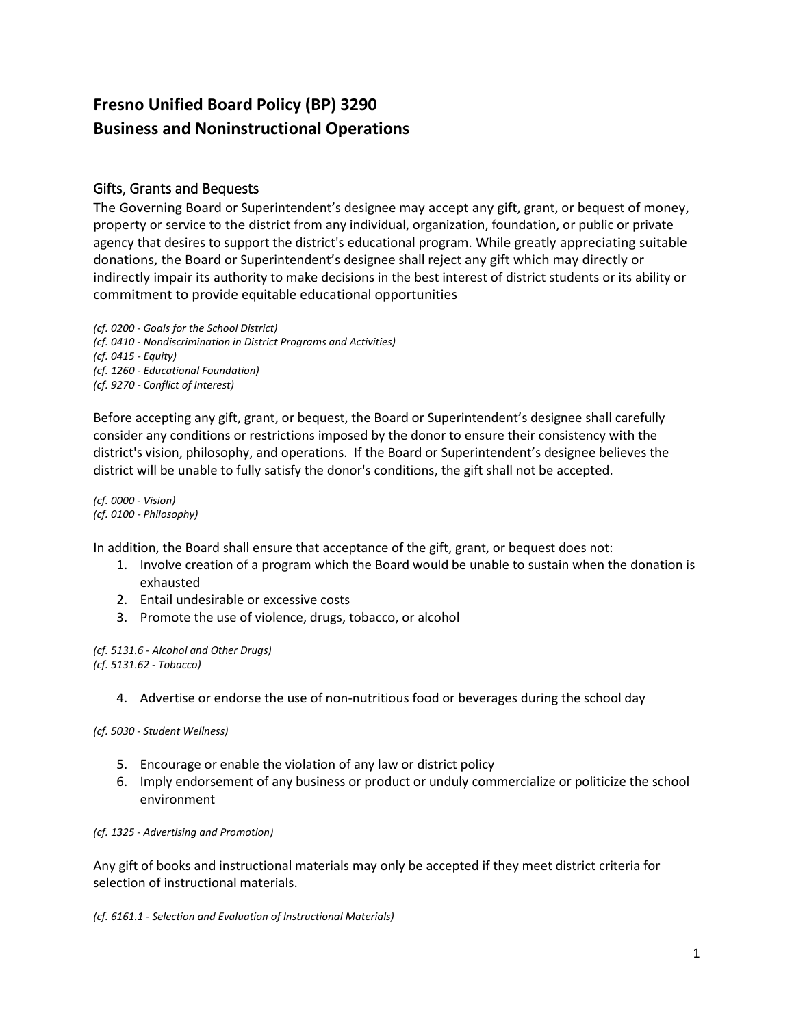# **Fresno Unified Board Policy (BP) 3290 Business and Noninstructional Operations**

# Gifts, Grants and Bequests

The Governing Board or Superintendent's designee may accept any gift, grant, or bequest of money, property or service to the district from any individual, organization, foundation, or public or private agency that desires to support the district's educational program. While greatly appreciating suitable donations, the Board or Superintendent's designee shall reject any gift which may directly or indirectly impair its authority to make decisions in the best interest of district students or its ability or commitment to provide equitable educational opportunities

*(cf. 0200 - Goals for the School District) (cf. 0410 - Nondiscrimination in District Programs and Activities) (cf. 0415 - Equity) (cf. 1260 - Educational Foundation) (cf. 9270 - Conflict of Interest)*

Before accepting any gift, grant, or bequest, the Board or Superintendent's designee shall carefully consider any conditions or restrictions imposed by the donor to ensure their consistency with the district's vision, philosophy, and operations. If the Board or Superintendent's designee believes the district will be unable to fully satisfy the donor's conditions, the gift shall not be accepted.

*(cf. 0000 - Vision) (cf. 0100 - Philosophy)*

In addition, the Board shall ensure that acceptance of the gift, grant, or bequest does not:

- 1. Involve creation of a program which the Board would be unable to sustain when the donation is exhausted
- 2. Entail undesirable or excessive costs
- 3. Promote the use of violence, drugs, tobacco, or alcohol

*(cf. 5131.6 - Alcohol and Other Drugs) (cf. 5131.62 - Tobacco)*

4. Advertise or endorse the use of non-nutritious food or beverages during the school day

*(cf. 5030 - Student Wellness)*

- 5. Encourage or enable the violation of any law or district policy
- 6. Imply endorsement of any business or product or unduly commercialize or politicize the school environment

*(cf. 1325 - Advertising and Promotion)*

Any gift of books and instructional materials may only be accepted if they meet district criteria for selection of instructional materials.

*(cf. 6161.1 - Selection and Evaluation of Instructional Materials)*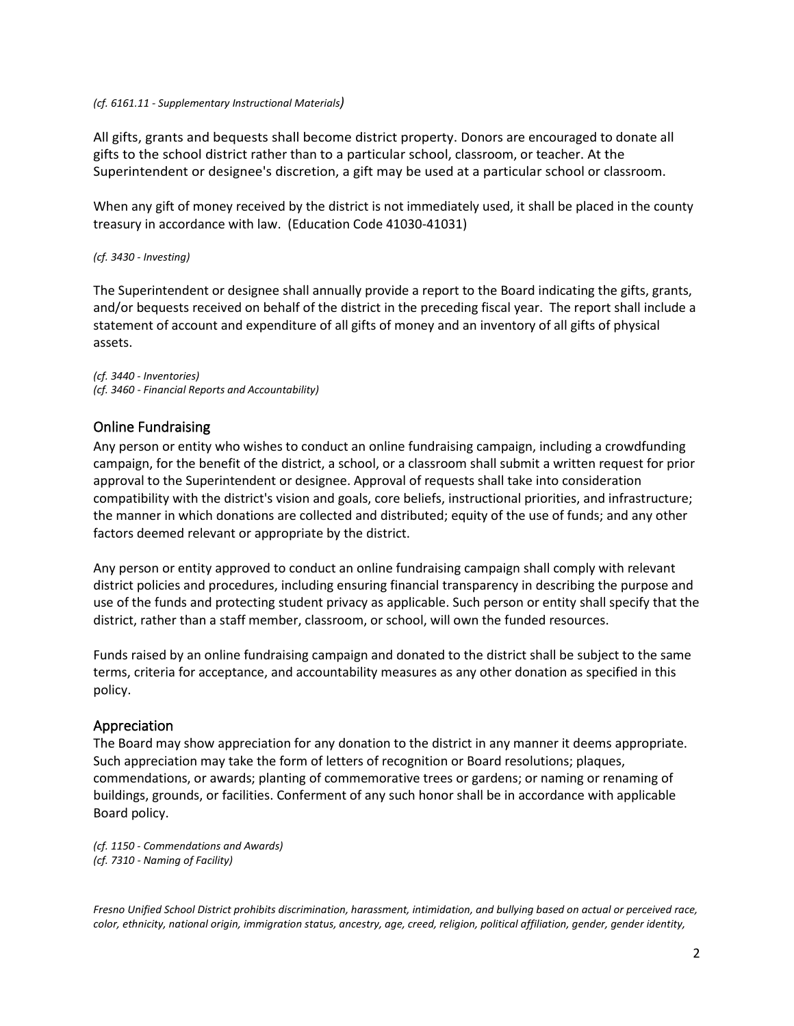#### *(cf. 6161.11 - Supplementary Instructional Materials)*

All gifts, grants and bequests shall become district property. Donors are encouraged to donate all gifts to the school district rather than to a particular school, classroom, or teacher. At the Superintendent or designee's discretion, a gift may be used at a particular school or classroom.

When any gift of money received by the district is not immediately used, it shall be placed in the county treasury in accordance with law. (Education Code 41030-41031)

#### *(cf. 3430 - Investing)*

The Superintendent or designee shall annually provide a report to the Board indicating the gifts, grants, and/or bequests received on behalf of the district in the preceding fiscal year. The report shall include a statement of account and expenditure of all gifts of money and an inventory of all gifts of physical assets.

*(cf. 3440 - Inventories) (cf. 3460 - Financial Reports and Accountability)*

## Online Fundraising

Any person or entity who wishes to conduct an online fundraising campaign, including a crowdfunding campaign, for the benefit of the district, a school, or a classroom shall submit a written request for prior approval to the Superintendent or designee. Approval of requests shall take into consideration compatibility with the district's vision and goals, core beliefs, instructional priorities, and infrastructure; the manner in which donations are collected and distributed; equity of the use of funds; and any other factors deemed relevant or appropriate by the district.

Any person or entity approved to conduct an online fundraising campaign shall comply with relevant district policies and procedures, including ensuring financial transparency in describing the purpose and use of the funds and protecting student privacy as applicable. Such person or entity shall specify that the district, rather than a staff member, classroom, or school, will own the funded resources.

Funds raised by an online fundraising campaign and donated to the district shall be subject to the same terms, criteria for acceptance, and accountability measures as any other donation as specified in this policy.

## Appreciation

The Board may show appreciation for any donation to the district in any manner it deems appropriate. Such appreciation may take the form of letters of recognition or Board resolutions; plaques, commendations, or awards; planting of commemorative trees or gardens; or naming or renaming of buildings, grounds, or facilities. Conferment of any such honor shall be in accordance with applicable Board policy.

*(cf. 1150 - Commendations and Awards) (cf. 7310 - Naming of Facility)*

*Fresno Unified School District prohibits discrimination, harassment, intimidation, and bullying based on actual or perceived race, color, ethnicity, national origin, immigration status, ancestry, age, creed, religion, political affiliation, gender, gender identity,*